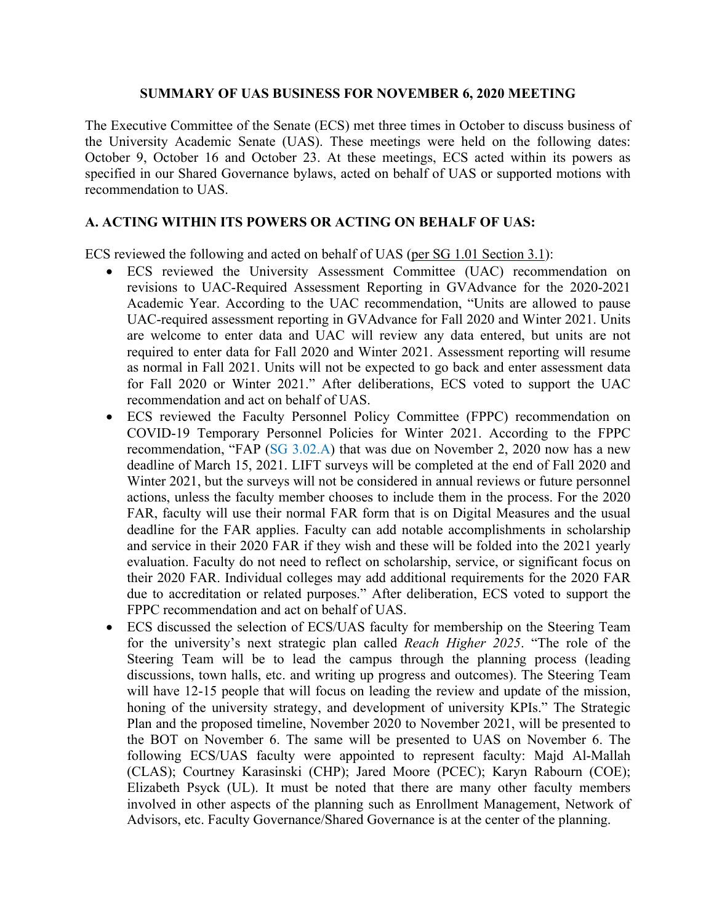## **SUMMARY OF UAS BUSINESS FOR NOVEMBER 6, 2020 MEETING**

The Executive Committee of the Senate (ECS) met three times in October to discuss business of the University Academic Senate (UAS). These meetings were held on the following dates: October 9, October 16 and October 23. At these meetings, ECS acted within its powers as specified in our Shared Governance bylaws, acted on behalf of UAS or supported motions with recommendation to UAS.

## **A. ACTING WITHIN ITS POWERS OR ACTING ON BEHALF OF UAS:**

ECS reviewed the following and acted on behalf of UAS (per SG 1.01 Section 3.1):

- ECS reviewed the University Assessment Committee (UAC) recommendation on revisions to UAC-Required Assessment Reporting in GVAdvance for the 2020-2021 Academic Year. According to the UAC recommendation, "Units are allowed to pause UAC-required assessment reporting in GVAdvance for Fall 2020 and Winter 2021. Units are welcome to enter data and UAC will review any data entered, but units are not required to enter data for Fall 2020 and Winter 2021. Assessment reporting will resume as normal in Fall 2021. Units will not be expected to go back and enter assessment data for Fall 2020 or Winter 2021." After deliberations, ECS voted to support the UAC recommendation and act on behalf of UAS.
- ECS reviewed the Faculty Personnel Policy Committee (FPPC) recommendation on COVID-19 Temporary Personnel Policies for Winter 2021. According to the FPPC recommendation, "FAP (SG 3.02.A) that was due on November 2, 2020 now has a new deadline of March 15, 2021. LIFT surveys will be completed at the end of Fall 2020 and Winter 2021, but the surveys will not be considered in annual reviews or future personnel actions, unless the faculty member chooses to include them in the process. For the 2020 FAR, faculty will use their normal FAR form that is on Digital Measures and the usual deadline for the FAR applies. Faculty can add notable accomplishments in scholarship and service in their 2020 FAR if they wish and these will be folded into the 2021 yearly evaluation. Faculty do not need to reflect on scholarship, service, or significant focus on their 2020 FAR. Individual colleges may add additional requirements for the 2020 FAR due to accreditation or related purposes." After deliberation, ECS voted to support the FPPC recommendation and act on behalf of UAS.
- ECS discussed the selection of ECS/UAS faculty for membership on the Steering Team for the university's next strategic plan called *Reach Higher 2025*. "The role of the Steering Team will be to lead the campus through the planning process (leading discussions, town halls, etc. and writing up progress and outcomes). The Steering Team will have 12-15 people that will focus on leading the review and update of the mission, honing of the university strategy, and development of university KPIs." The Strategic Plan and the proposed timeline, November 2020 to November 2021, will be presented to the BOT on November 6. The same will be presented to UAS on November 6. The following ECS/UAS faculty were appointed to represent faculty: Majd Al-Mallah (CLAS); Courtney Karasinski (CHP); Jared Moore (PCEC); Karyn Rabourn (COE); Elizabeth Psyck (UL). It must be noted that there are many other faculty members involved in other aspects of the planning such as Enrollment Management, Network of Advisors, etc. Faculty Governance/Shared Governance is at the center of the planning.